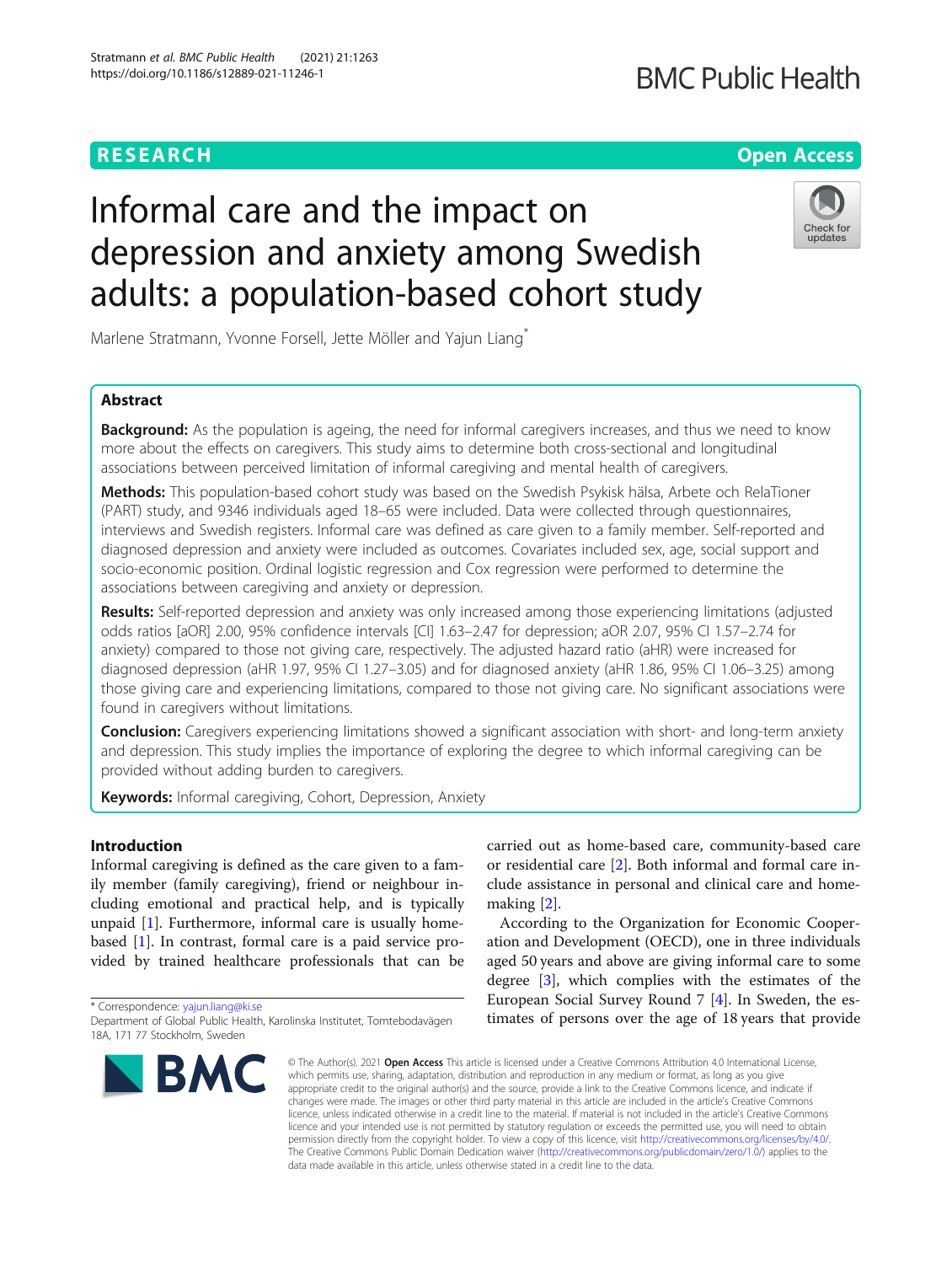# **RESEARCH CHE Open Access**

# **BMC Public Health**

# Informal care and the impact on depression and anxiety among Swedish adults: a population-based cohort study



Marlene Stratmann, Yvonne Forsell, Jette Möller and Yajun Liang\*

# Abstract

**Background:** As the population is ageing, the need for informal caregivers increases, and thus we need to know more about the effects on caregivers. This study aims to determine both cross-sectional and longitudinal associations between perceived limitation of informal caregiving and mental health of caregivers.

Methods: This population-based cohort study was based on the Swedish Psykisk hälsa, Arbete och RelaTioner (PART) study, and 9346 individuals aged 18–65 were included. Data were collected through questionnaires, interviews and Swedish registers. Informal care was defined as care given to a family member. Self-reported and diagnosed depression and anxiety were included as outcomes. Covariates included sex, age, social support and socio-economic position. Ordinal logistic regression and Cox regression were performed to determine the associations between caregiving and anxiety or depression.

Results: Self-reported depression and anxiety was only increased among those experiencing limitations (adjusted odds ratios [aOR] 2.00, 95% confidence intervals [CI] 1.63–2.47 for depression; aOR 2.07, 95% CI 1.57–2.74 for anxiety) compared to those not giving care, respectively. The adjusted hazard ratio (aHR) were increased for diagnosed depression (aHR 1.97, 95% CI 1.27–3.05) and for diagnosed anxiety (aHR 1.86, 95% CI 1.06–3.25) among those giving care and experiencing limitations, compared to those not giving care. No significant associations were found in caregivers without limitations.

**Conclusion:** Caregivers experiencing limitations showed a significant association with short- and long-term anxiety and depression. This study implies the importance of exploring the degree to which informal caregiving can be provided without adding burden to caregivers.

Keywords: Informal caregiving, Cohort, Depression, Anxiety

### Introduction

Informal caregiving is defined as the care given to a family member (family caregiving), friend or neighbour including emotional and practical help, and is typically unpaid [[1](#page-6-0)]. Furthermore, informal care is usually homebased [\[1](#page-6-0)]. In contrast, formal care is a paid service provided by trained healthcare professionals that can be

\* Correspondence: [yajun.liang@ki.se](mailto:yajun.liang@ki.se)

Department of Global Public Health, Karolinska Institutet, Tomtebodavägen 18A, 171 77 Stockholm, Sweden



carried out as home-based care, community-based care or residential care [\[2\]](#page-6-0). Both informal and formal care include assistance in personal and clinical care and homemaking [[2\]](#page-6-0).

According to the Organization for Economic Cooperation and Development (OECD), one in three individuals aged 50 years and above are giving informal care to some degree [\[3](#page-6-0)], which complies with the estimates of the European Social Survey Round 7 [[4\]](#page-6-0). In Sweden, the estimates of persons over the age of 18 years that provide

© The Author(s), 2021 **Open Access** This article is licensed under a Creative Commons Attribution 4.0 International License, which permits use, sharing, adaptation, distribution and reproduction in any medium or format, as long as you give appropriate credit to the original author(s) and the source, provide a link to the Creative Commons licence, and indicate if changes were made. The images or other third party material in this article are included in the article's Creative Commons licence, unless indicated otherwise in a credit line to the material. If material is not included in the article's Creative Commons licence and your intended use is not permitted by statutory regulation or exceeds the permitted use, you will need to obtain permission directly from the copyright holder. To view a copy of this licence, visit [http://creativecommons.org/licenses/by/4.0/.](http://creativecommons.org/licenses/by/4.0/) The Creative Commons Public Domain Dedication waiver [\(http://creativecommons.org/publicdomain/zero/1.0/](http://creativecommons.org/publicdomain/zero/1.0/)) applies to the data made available in this article, unless otherwise stated in a credit line to the data.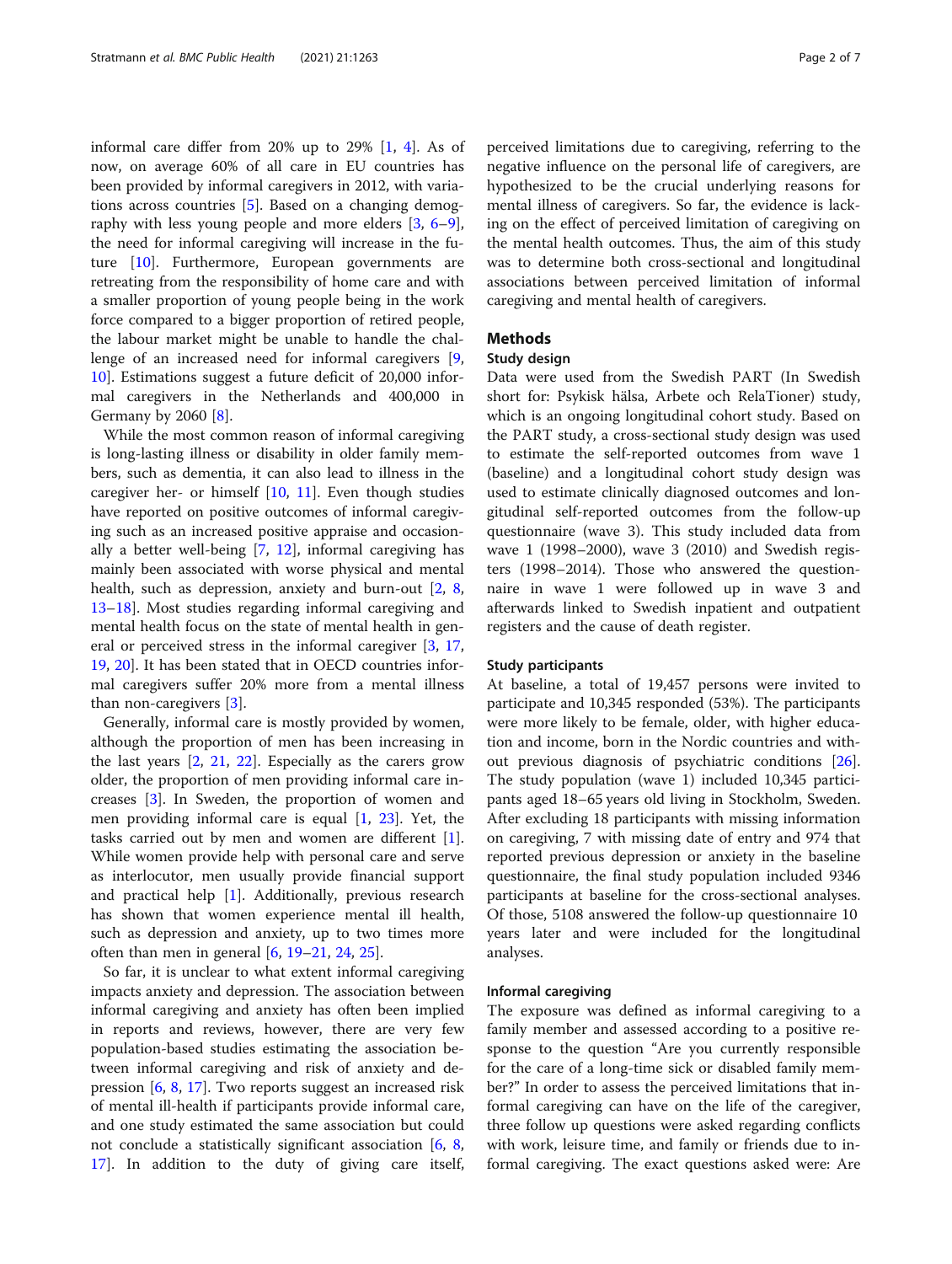informal care differ from 20% up to 29% [\[1,](#page-6-0) [4](#page-6-0)]. As of now, on average 60% of all care in EU countries has been provided by informal caregivers in 2012, with variations across countries [\[5](#page-6-0)]. Based on a changing demography with less young people and more elders [[3](#page-6-0), [6](#page-6-0)–[9](#page-6-0)], the need for informal caregiving will increase in the future [[10](#page-6-0)]. Furthermore, European governments are retreating from the responsibility of home care and with a smaller proportion of young people being in the work force compared to a bigger proportion of retired people, the labour market might be unable to handle the challenge of an increased need for informal caregivers [\[9](#page-6-0), [10\]](#page-6-0). Estimations suggest a future deficit of 20,000 informal caregivers in the Netherlands and 400,000 in Germany by 2060 [[8](#page-6-0)].

While the most common reason of informal caregiving is long-lasting illness or disability in older family members, such as dementia, it can also lead to illness in the caregiver her- or himself  $[10, 11]$  $[10, 11]$  $[10, 11]$  $[10, 11]$ . Even though studies have reported on positive outcomes of informal caregiving such as an increased positive appraise and occasionally a better well-being [[7](#page-6-0), [12\]](#page-6-0), informal caregiving has mainly been associated with worse physical and mental health, such as depression, anxiety and burn-out [[2,](#page-6-0) [8](#page-6-0), [13](#page-6-0)–[18](#page-6-0)]. Most studies regarding informal caregiving and mental health focus on the state of mental health in general or perceived stress in the informal caregiver [[3,](#page-6-0) [17](#page-6-0), [19,](#page-6-0) [20\]](#page-6-0). It has been stated that in OECD countries informal caregivers suffer 20% more from a mental illness than non-caregivers [\[3\]](#page-6-0).

Generally, informal care is mostly provided by women, although the proportion of men has been increasing in the last years [\[2](#page-6-0), [21,](#page-6-0) [22\]](#page-6-0). Especially as the carers grow older, the proportion of men providing informal care increases [[3\]](#page-6-0). In Sweden, the proportion of women and men providing informal care is equal [\[1](#page-6-0), [23\]](#page-6-0). Yet, the tasks carried out by men and women are different [\[1](#page-6-0)]. While women provide help with personal care and serve as interlocutor, men usually provide financial support and practical help [\[1](#page-6-0)]. Additionally, previous research has shown that women experience mental ill health, such as depression and anxiety, up to two times more often than men in general  $[6, 19-21, 24, 25]$  $[6, 19-21, 24, 25]$  $[6, 19-21, 24, 25]$  $[6, 19-21, 24, 25]$  $[6, 19-21, 24, 25]$  $[6, 19-21, 24, 25]$  $[6, 19-21, 24, 25]$  $[6, 19-21, 24, 25]$  $[6, 19-21, 24, 25]$ .

So far, it is unclear to what extent informal caregiving impacts anxiety and depression. The association between informal caregiving and anxiety has often been implied in reports and reviews, however, there are very few population-based studies estimating the association between informal caregiving and risk of anxiety and depression [[6,](#page-6-0) [8,](#page-6-0) [17\]](#page-6-0). Two reports suggest an increased risk of mental ill-health if participants provide informal care, and one study estimated the same association but could not conclude a statistically significant association [\[6](#page-6-0), [8](#page-6-0), [17\]](#page-6-0). In addition to the duty of giving care itself,

perceived limitations due to caregiving, referring to the negative influence on the personal life of caregivers, are hypothesized to be the crucial underlying reasons for mental illness of caregivers. So far, the evidence is lacking on the effect of perceived limitation of caregiving on the mental health outcomes. Thus, the aim of this study was to determine both cross-sectional and longitudinal associations between perceived limitation of informal caregiving and mental health of caregivers.

#### Methods

#### Study design

Data were used from the Swedish PART (In Swedish short for: Psykisk hälsa, Arbete och RelaTioner) study, which is an ongoing longitudinal cohort study. Based on the PART study, a cross-sectional study design was used to estimate the self-reported outcomes from wave 1 (baseline) and a longitudinal cohort study design was used to estimate clinically diagnosed outcomes and longitudinal self-reported outcomes from the follow-up questionnaire (wave 3). This study included data from wave 1 (1998–2000), wave 3 (2010) and Swedish registers (1998–2014). Those who answered the questionnaire in wave 1 were followed up in wave 3 and afterwards linked to Swedish inpatient and outpatient registers and the cause of death register.

#### Study participants

At baseline, a total of 19,457 persons were invited to participate and 10,345 responded (53%). The participants were more likely to be female, older, with higher education and income, born in the Nordic countries and without previous diagnosis of psychiatric conditions [\[26](#page-6-0)]. The study population (wave 1) included 10,345 participants aged 18–65 years old living in Stockholm, Sweden. After excluding 18 participants with missing information on caregiving, 7 with missing date of entry and 974 that reported previous depression or anxiety in the baseline questionnaire, the final study population included 9346 participants at baseline for the cross-sectional analyses. Of those, 5108 answered the follow-up questionnaire 10 years later and were included for the longitudinal analyses.

#### Informal caregiving

The exposure was defined as informal caregiving to a family member and assessed according to a positive response to the question "Are you currently responsible for the care of a long-time sick or disabled family member?" In order to assess the perceived limitations that informal caregiving can have on the life of the caregiver, three follow up questions were asked regarding conflicts with work, leisure time, and family or friends due to informal caregiving. The exact questions asked were: Are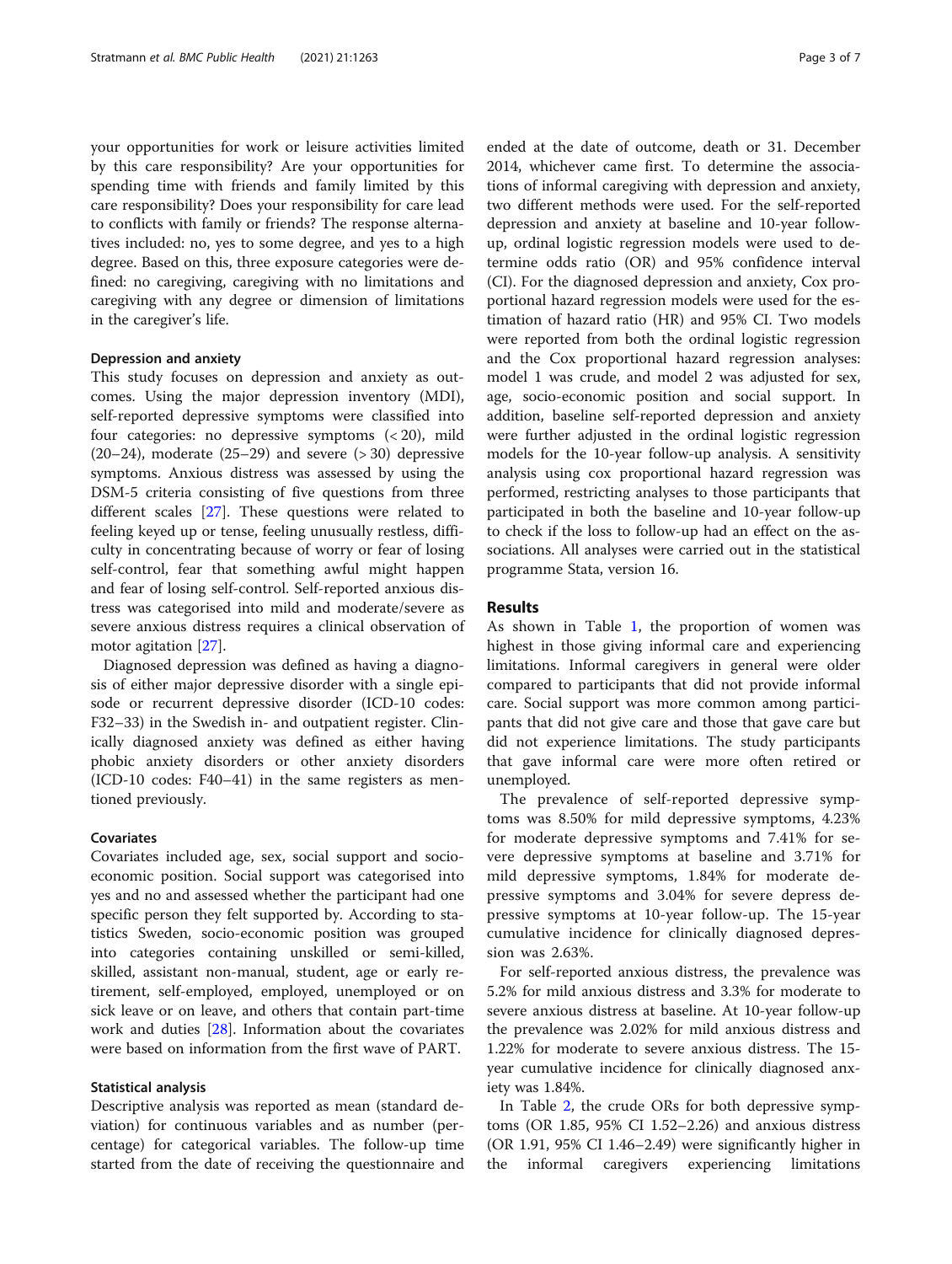your opportunities for work or leisure activities limited by this care responsibility? Are your opportunities for spending time with friends and family limited by this care responsibility? Does your responsibility for care lead to conflicts with family or friends? The response alternatives included: no, yes to some degree, and yes to a high degree. Based on this, three exposure categories were defined: no caregiving, caregiving with no limitations and caregiving with any degree or dimension of limitations in the caregiver's life.

### Depression and anxiety

This study focuses on depression and anxiety as outcomes. Using the major depression inventory (MDI), self-reported depressive symptoms were classified into four categories: no depressive symptoms (< 20), mild  $(20-24)$ , moderate  $(25-29)$  and severe  $(>30)$  depressive symptoms. Anxious distress was assessed by using the DSM-5 criteria consisting of five questions from three different scales [[27\]](#page-6-0). These questions were related to feeling keyed up or tense, feeling unusually restless, difficulty in concentrating because of worry or fear of losing self-control, fear that something awful might happen and fear of losing self-control. Self-reported anxious distress was categorised into mild and moderate/severe as severe anxious distress requires a clinical observation of motor agitation [\[27](#page-6-0)].

Diagnosed depression was defined as having a diagnosis of either major depressive disorder with a single episode or recurrent depressive disorder (ICD-10 codes: F32–33) in the Swedish in- and outpatient register. Clinically diagnosed anxiety was defined as either having phobic anxiety disorders or other anxiety disorders (ICD-10 codes: F40–41) in the same registers as mentioned previously.

#### Covariates

Covariates included age, sex, social support and socioeconomic position. Social support was categorised into yes and no and assessed whether the participant had one specific person they felt supported by. According to statistics Sweden, socio-economic position was grouped into categories containing unskilled or semi-killed, skilled, assistant non-manual, student, age or early retirement, self-employed, employed, unemployed or on sick leave or on leave, and others that contain part-time work and duties [[28\]](#page-6-0). Information about the covariates were based on information from the first wave of PART.

#### Statistical analysis

Descriptive analysis was reported as mean (standard deviation) for continuous variables and as number (percentage) for categorical variables. The follow-up time started from the date of receiving the questionnaire and ended at the date of outcome, death or 31. December 2014, whichever came first. To determine the associations of informal caregiving with depression and anxiety, two different methods were used. For the self-reported depression and anxiety at baseline and 10-year followup, ordinal logistic regression models were used to determine odds ratio (OR) and 95% confidence interval (CI). For the diagnosed depression and anxiety, Cox proportional hazard regression models were used for the estimation of hazard ratio (HR) and 95% CI. Two models were reported from both the ordinal logistic regression and the Cox proportional hazard regression analyses: model 1 was crude, and model 2 was adjusted for sex, age, socio-economic position and social support. In addition, baseline self-reported depression and anxiety were further adjusted in the ordinal logistic regression models for the 10-year follow-up analysis. A sensitivity analysis using cox proportional hazard regression was performed, restricting analyses to those participants that participated in both the baseline and 10-year follow-up to check if the loss to follow-up had an effect on the associations. All analyses were carried out in the statistical programme Stata, version 16.

#### Results

As shown in Table [1](#page-3-0), the proportion of women was highest in those giving informal care and experiencing limitations. Informal caregivers in general were older compared to participants that did not provide informal care. Social support was more common among participants that did not give care and those that gave care but did not experience limitations. The study participants that gave informal care were more often retired or unemployed.

The prevalence of self-reported depressive symptoms was 8.50% for mild depressive symptoms, 4.23% for moderate depressive symptoms and 7.41% for severe depressive symptoms at baseline and 3.71% for mild depressive symptoms, 1.84% for moderate depressive symptoms and 3.04% for severe depress depressive symptoms at 10-year follow-up. The 15-year cumulative incidence for clinically diagnosed depression was 2.63%.

For self-reported anxious distress, the prevalence was 5.2% for mild anxious distress and 3.3% for moderate to severe anxious distress at baseline. At 10-year follow-up the prevalence was 2.02% for mild anxious distress and 1.22% for moderate to severe anxious distress. The 15 year cumulative incidence for clinically diagnosed anxiety was 1.84%.

In Table [2](#page-3-0), the crude ORs for both depressive symptoms (OR 1.85, 95% CI 1.52–2.26) and anxious distress (OR 1.91, 95% CI 1.46–2.49) were significantly higher in the informal caregivers experiencing limitations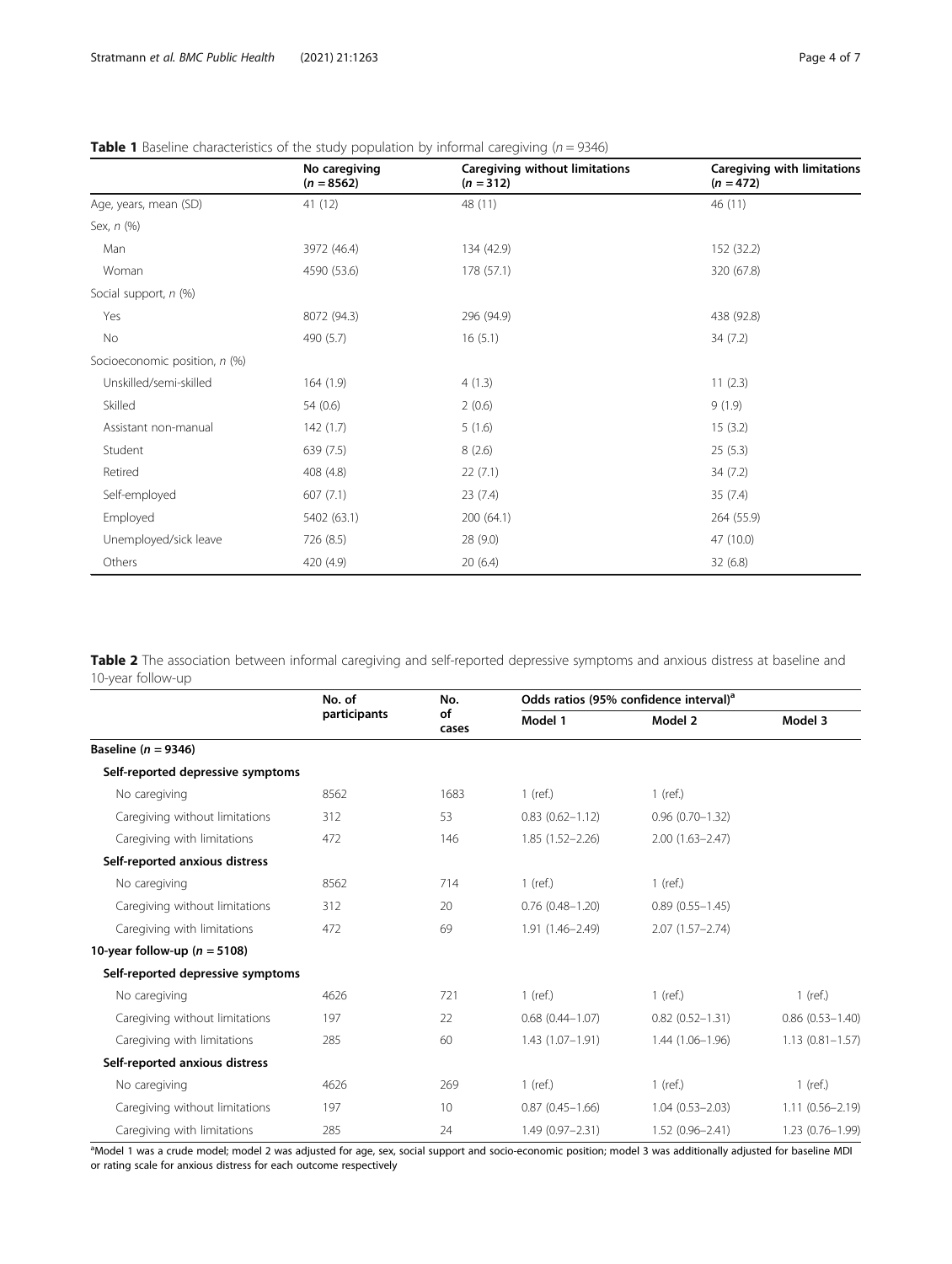|                               | No caregiving<br>$(n = 8562)$ | <b>Caregiving without limitations</b><br>$(n = 312)$ | Caregiving with limitations<br>$(n = 472)$ |
|-------------------------------|-------------------------------|------------------------------------------------------|--------------------------------------------|
| Age, years, mean (SD)         | 41 (12)                       | 48 (11)                                              | 46 (11)                                    |
| Sex, n (%)                    |                               |                                                      |                                            |
| Man                           | 3972 (46.4)                   | 134 (42.9)                                           | 152 (32.2)                                 |
| Woman                         | 4590 (53.6)                   | 178 (57.1)                                           | 320 (67.8)                                 |
| Social support, n (%)         |                               |                                                      |                                            |
| Yes                           | 8072 (94.3)                   | 296 (94.9)                                           | 438 (92.8)                                 |
| No                            | 490 (5.7)                     | 16(5.1)                                              | 34(7.2)                                    |
| Socioeconomic position, n (%) |                               |                                                      |                                            |
| Unskilled/semi-skilled        | 164(1.9)                      | 4(1.3)                                               | 11(2.3)                                    |
| Skilled                       | 54 (0.6)                      | 2(0.6)                                               | 9(1.9)                                     |
| Assistant non-manual          | 142(1.7)                      | 5(1.6)                                               | 15(3.2)                                    |
| Student                       | 639 (7.5)                     | 8(2.6)                                               | 25(5.3)                                    |
| Retired                       | 408 (4.8)                     | 22(7.1)                                              | 34(7.2)                                    |
| Self-employed                 | 607(7.1)                      | 23(7.4)                                              | 35(7.4)                                    |
| Employed                      | 5402 (63.1)                   | 200 (64.1)                                           | 264 (55.9)                                 |
| Unemployed/sick leave         | 726 (8.5)                     | 28 (9.0)                                             | 47 (10.0)                                  |
| Others                        | 420 (4.9)                     | 20(6.4)                                              | 32(6.8)                                    |

## <span id="page-3-0"></span>**Table 1** Baseline characteristics of the study population by informal caregiving ( $n = 9346$ )

Table 2 The association between informal caregiving and self-reported depressive symptoms and anxious distress at baseline and 10-year follow-up

|                                   | No. of       | No.<br>of<br>cases | Odds ratios (95% confidence interval) <sup>a</sup> |                     |                     |
|-----------------------------------|--------------|--------------------|----------------------------------------------------|---------------------|---------------------|
|                                   | participants |                    | Model 1                                            | Model 2             | Model 3             |
| Baseline ( $n = 9346$ )           |              |                    |                                                    |                     |                     |
| Self-reported depressive symptoms |              |                    |                                                    |                     |                     |
| No caregiving                     | 8562         | 1683               | $1$ (ref.)                                         | $1$ (ref.)          |                     |
| Caregiving without limitations    | 312          | 53                 | $0.83(0.62 - 1.12)$                                | $0.96(0.70 - 1.32)$ |                     |
| Caregiving with limitations       | 472          | 146                | $1.85(1.52 - 2.26)$                                | $2.00(1.63 - 2.47)$ |                     |
| Self-reported anxious distress    |              |                    |                                                    |                     |                     |
| No caregiving                     | 8562         | 714                | $1$ (ref.)                                         | $1$ (ref.)          |                     |
| Caregiving without limitations    | 312          | 20                 | $0.76(0.48 - 1.20)$                                | $0.89(0.55 - 1.45)$ |                     |
| Caregiving with limitations       | 472          | 69                 | $1.91(1.46 - 2.49)$                                | $2.07(1.57 - 2.74)$ |                     |
| 10-year follow-up ( $n = 5108$ )  |              |                    |                                                    |                     |                     |
| Self-reported depressive symptoms |              |                    |                                                    |                     |                     |
| No caregiving                     | 4626         | 721                | $1$ (ref.)                                         | $1$ (ref.)          | $1$ (ref.)          |
| Caregiving without limitations    | 197          | 22                 | $0.68$ $(0.44 - 1.07)$                             | $0.82(0.52 - 1.31)$ | $0.86(0.53 - 1.40)$ |
| Caregiving with limitations       | 285          | 60                 | $1.43(1.07-1.91)$                                  | $1.44(1.06 - 1.96)$ | $1.13(0.81 - 1.57)$ |
| Self-reported anxious distress    |              |                    |                                                    |                     |                     |
| No caregiving                     | 4626         | 269                | $1$ (ref.)                                         | $1$ (ref.)          | $1$ (ref.)          |
| Caregiving without limitations    | 197          | 10                 | $0.87(0.45 - 1.66)$                                | $1.04(0.53 - 2.03)$ | $1.11(0.56 - 2.19)$ |
| Caregiving with limitations       | 285          | 24                 | 1.49 (0.97-2.31)                                   | $1.52(0.96 - 2.41)$ | $1.23(0.76 - 1.99)$ |

<sup>a</sup>Model 1 was a crude model; model 2 was adjusted for age, sex, social support and socio-economic position; model 3 was additionally adjusted for baseline MDI or rating scale for anxious distress for each outcome respectively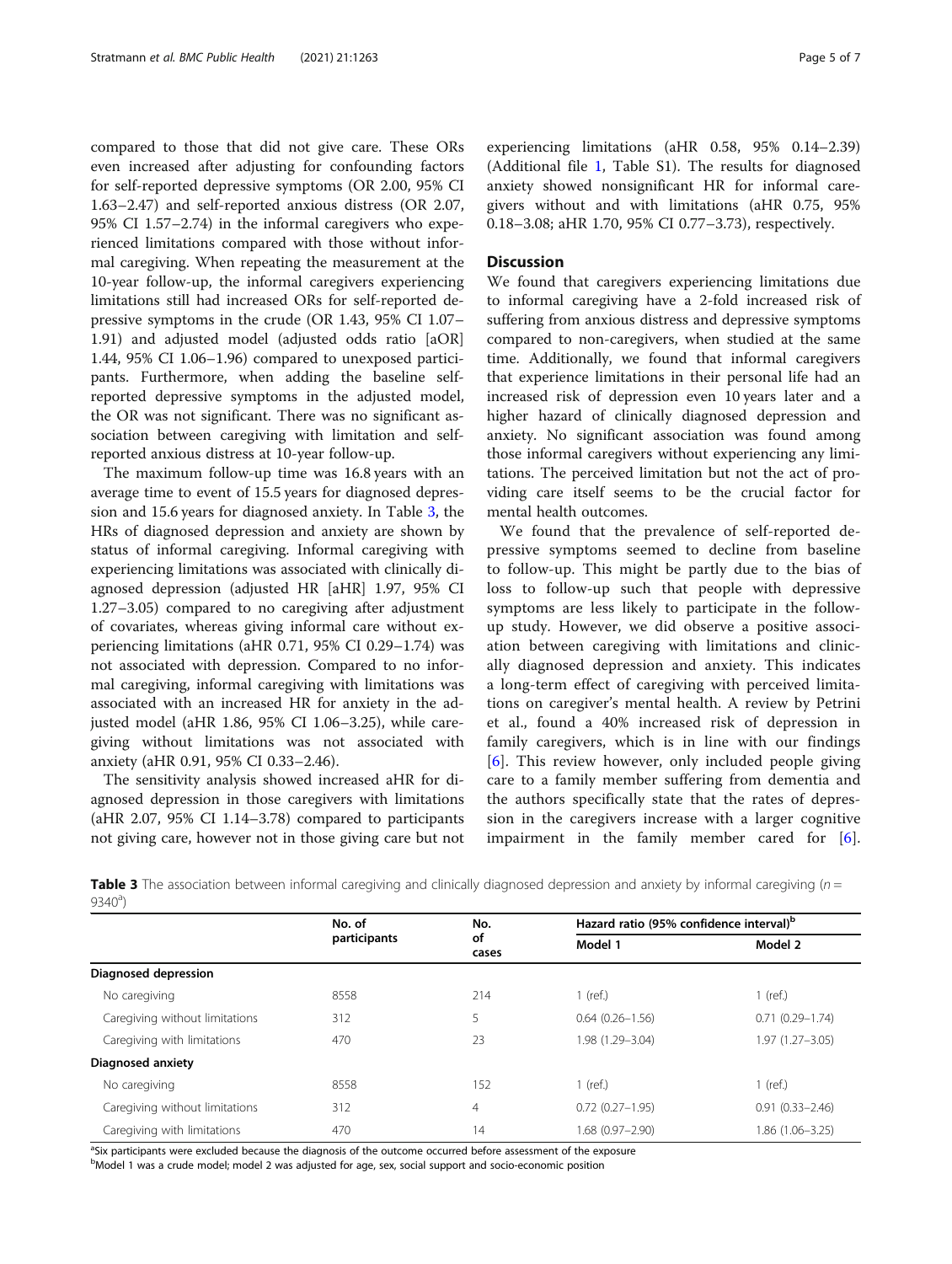compared to those that did not give care. These ORs even increased after adjusting for confounding factors for self-reported depressive symptoms (OR 2.00, 95% CI 1.63–2.47) and self-reported anxious distress (OR 2.07, 95% CI 1.57–2.74) in the informal caregivers who experienced limitations compared with those without informal caregiving. When repeating the measurement at the 10-year follow-up, the informal caregivers experiencing limitations still had increased ORs for self-reported depressive symptoms in the crude (OR 1.43, 95% CI 1.07– 1.91) and adjusted model (adjusted odds ratio [aOR] 1.44, 95% CI 1.06–1.96) compared to unexposed participants. Furthermore, when adding the baseline selfreported depressive symptoms in the adjusted model, the OR was not significant. There was no significant association between caregiving with limitation and selfreported anxious distress at 10-year follow-up.

The maximum follow-up time was 16.8 years with an average time to event of 15.5 years for diagnosed depression and 15.6 years for diagnosed anxiety. In Table 3, the HRs of diagnosed depression and anxiety are shown by status of informal caregiving. Informal caregiving with experiencing limitations was associated with clinically diagnosed depression (adjusted HR [aHR] 1.97, 95% CI 1.27–3.05) compared to no caregiving after adjustment of covariates, whereas giving informal care without experiencing limitations (aHR 0.71, 95% CI 0.29–1.74) was not associated with depression. Compared to no informal caregiving, informal caregiving with limitations was associated with an increased HR for anxiety in the adjusted model (aHR 1.86, 95% CI 1.06–3.25), while caregiving without limitations was not associated with anxiety (aHR 0.91, 95% CI 0.33–2.46).

The sensitivity analysis showed increased aHR for diagnosed depression in those caregivers with limitations (aHR 2.07, 95% CI 1.14–3.78) compared to participants not giving care, however not in those giving care but not

experiencing limitations (aHR 0.58, 95% 0.14–2.39) (Additional file [1,](#page-5-0) Table S1). The results for diagnosed anxiety showed nonsignificant HR for informal caregivers without and with limitations (aHR 0.75, 95% 0.18–3.08; aHR 1.70, 95% CI 0.77–3.73), respectively.

#### **Discussion**

We found that caregivers experiencing limitations due to informal caregiving have a 2-fold increased risk of suffering from anxious distress and depressive symptoms compared to non-caregivers, when studied at the same time. Additionally, we found that informal caregivers that experience limitations in their personal life had an increased risk of depression even 10 years later and a higher hazard of clinically diagnosed depression and anxiety. No significant association was found among those informal caregivers without experiencing any limitations. The perceived limitation but not the act of providing care itself seems to be the crucial factor for mental health outcomes.

We found that the prevalence of self-reported depressive symptoms seemed to decline from baseline to follow-up. This might be partly due to the bias of loss to follow-up such that people with depressive symptoms are less likely to participate in the followup study. However, we did observe a positive association between caregiving with limitations and clinically diagnosed depression and anxiety. This indicates a long-term effect of caregiving with perceived limitations on caregiver's mental health. A review by Petrini et al., found a 40% increased risk of depression in family caregivers, which is in line with our findings [[6](#page-6-0)]. This review however, only included people giving care to a family member suffering from dementia and the authors specifically state that the rates of depression in the caregivers increase with a larger cognitive impairment in the family member cared for [\[6](#page-6-0)].

**Table 3** The association between informal caregiving and clinically diagnosed depression and anxiety by informal caregiving  $(n = 1, 2, 3)$  $9340^{\circ}$ 

|                                | No. of       | No.            | Hazard ratio (95% confidence interval) <sup>b</sup> |                     |  |
|--------------------------------|--------------|----------------|-----------------------------------------------------|---------------------|--|
|                                | participants | οf<br>cases    | Model 1                                             | Model 2             |  |
| Diagnosed depression           |              |                |                                                     |                     |  |
| No caregiving                  | 8558         | 214            | $1$ (ref.)                                          | $1$ (ref.)          |  |
| Caregiving without limitations | 312          | 5              | $0.64(0.26 - 1.56)$                                 | $0.71(0.29 - 1.74)$ |  |
| Caregiving with limitations    | 470          | 23             | 1.98 (1.29-3.04)                                    | $1.97(1.27 - 3.05)$ |  |
| Diagnosed anxiety              |              |                |                                                     |                     |  |
| No caregiving                  | 8558         | 152            | $1$ (ref.)                                          | $1$ (ref.)          |  |
| Caregiving without limitations | 312          | $\overline{4}$ | $0.72(0.27 - 1.95)$                                 | $0.91(0.33 - 2.46)$ |  |
| Caregiving with limitations    | 470          | 14             | 1.68 (0.97-2.90)                                    | 1.86 (1.06-3.25)    |  |

<sup>a</sup>Six participants were excluded because the diagnosis of the outcome occurred before assessment of the exposure

<sup>b</sup>Model 1 was a crude model; model 2 was adjusted for age, sex, social support and socio-economic position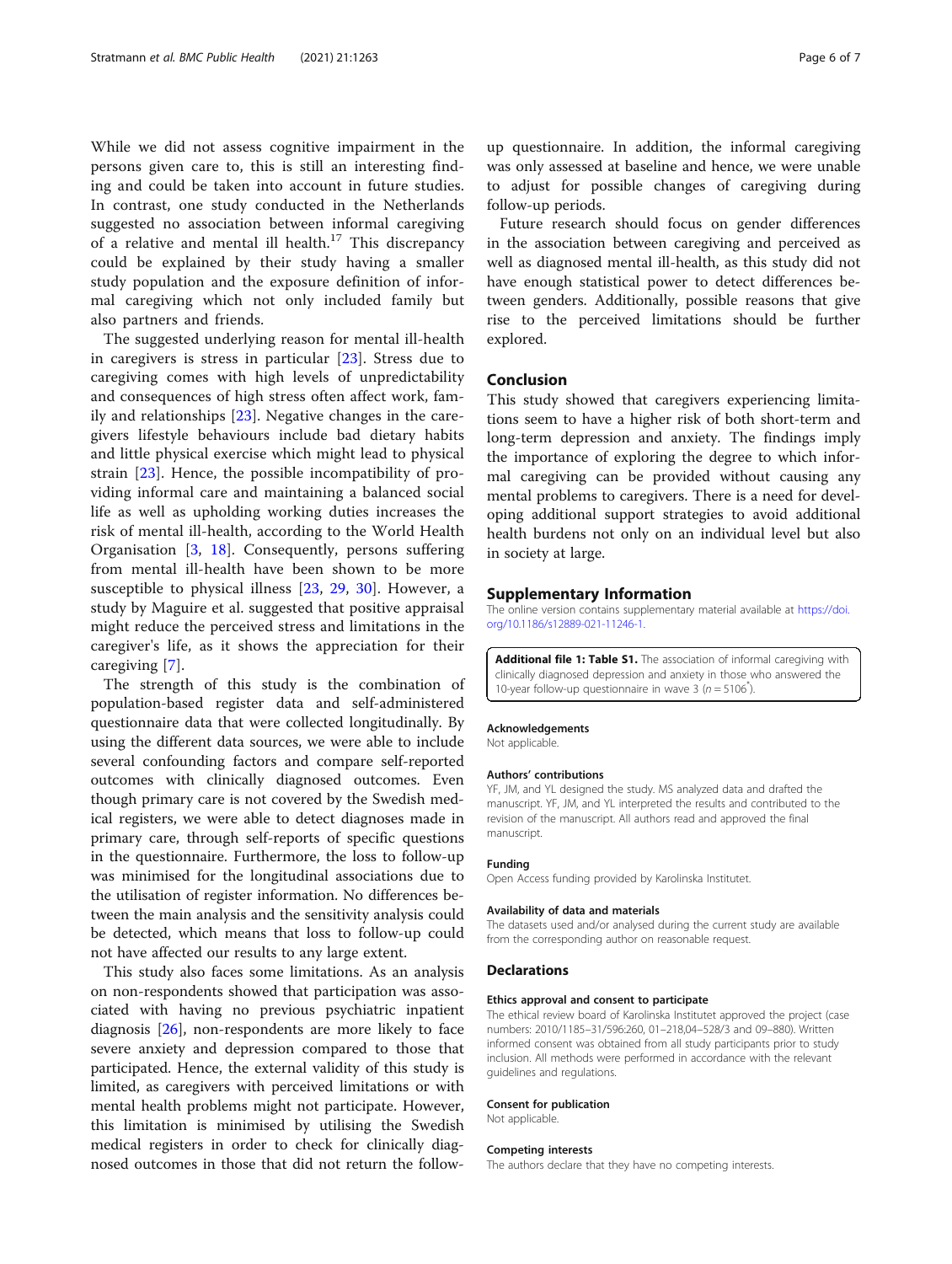<span id="page-5-0"></span>While we did not assess cognitive impairment in the persons given care to, this is still an interesting finding and could be taken into account in future studies. In contrast, one study conducted in the Netherlands suggested no association between informal caregiving of a relative and mental ill health.<sup>17</sup> This discrepancy could be explained by their study having a smaller study population and the exposure definition of informal caregiving which not only included family but also partners and friends.

The suggested underlying reason for mental ill-health in caregivers is stress in particular [[23\]](#page-6-0). Stress due to caregiving comes with high levels of unpredictability and consequences of high stress often affect work, family and relationships [[23\]](#page-6-0). Negative changes in the caregivers lifestyle behaviours include bad dietary habits and little physical exercise which might lead to physical strain [\[23](#page-6-0)]. Hence, the possible incompatibility of providing informal care and maintaining a balanced social life as well as upholding working duties increases the risk of mental ill-health, according to the World Health Organisation [\[3](#page-6-0), [18\]](#page-6-0). Consequently, persons suffering from mental ill-health have been shown to be more susceptible to physical illness [[23,](#page-6-0) [29](#page-6-0), [30\]](#page-6-0). However, a study by Maguire et al. suggested that positive appraisal might reduce the perceived stress and limitations in the caregiver's life, as it shows the appreciation for their caregiving [[7](#page-6-0)].

The strength of this study is the combination of population-based register data and self-administered questionnaire data that were collected longitudinally. By using the different data sources, we were able to include several confounding factors and compare self-reported outcomes with clinically diagnosed outcomes. Even though primary care is not covered by the Swedish medical registers, we were able to detect diagnoses made in primary care, through self-reports of specific questions in the questionnaire. Furthermore, the loss to follow-up was minimised for the longitudinal associations due to the utilisation of register information. No differences between the main analysis and the sensitivity analysis could be detected, which means that loss to follow-up could not have affected our results to any large extent.

This study also faces some limitations. As an analysis on non-respondents showed that participation was associated with having no previous psychiatric inpatient diagnosis [[26](#page-6-0)], non-respondents are more likely to face severe anxiety and depression compared to those that participated. Hence, the external validity of this study is limited, as caregivers with perceived limitations or with mental health problems might not participate. However, this limitation is minimised by utilising the Swedish medical registers in order to check for clinically diagnosed outcomes in those that did not return the followup questionnaire. In addition, the informal caregiving was only assessed at baseline and hence, we were unable to adjust for possible changes of caregiving during follow-up periods.

Future research should focus on gender differences in the association between caregiving and perceived as well as diagnosed mental ill-health, as this study did not have enough statistical power to detect differences between genders. Additionally, possible reasons that give rise to the perceived limitations should be further explored.

#### Conclusion

This study showed that caregivers experiencing limitations seem to have a higher risk of both short-term and long-term depression and anxiety. The findings imply the importance of exploring the degree to which informal caregiving can be provided without causing any mental problems to caregivers. There is a need for developing additional support strategies to avoid additional health burdens not only on an individual level but also in society at large.

#### Supplementary Information

The online version contains supplementary material available at [https://doi.](https://doi.org/10.1186/s12889-021-11246-1) [org/10.1186/s12889-021-11246-1.](https://doi.org/10.1186/s12889-021-11246-1)

Additional file 1: Table S1. The association of informal caregiving with clinically diagnosed depression and anxiety in those who answered the 10-year follow-up questionnaire in wave  $3(n=5106^*)$ .

#### Acknowledgements

Not applicable.

#### Authors' contributions

YF, JM, and YL designed the study. MS analyzed data and drafted the manuscript. YF, JM, and YL interpreted the results and contributed to the revision of the manuscript. All authors read and approved the final manuscript.

#### Funding

Open Access funding provided by Karolinska Institutet.

#### Availability of data and materials

The datasets used and/or analysed during the current study are available from the corresponding author on reasonable request.

#### **Declarations**

#### Ethics approval and consent to participate

The ethical review board of Karolinska Institutet approved the project (case numbers: 2010/1185–31/596:260, 01–218,04–528/3 and 09–880). Written informed consent was obtained from all study participants prior to study inclusion. All methods were performed in accordance with the relevant guidelines and regulations.

#### Consent for publication

Not applicable.

#### Competing interests

The authors declare that they have no competing interests.